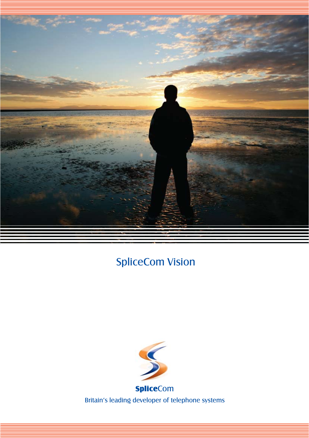

# SpliceCom Vision

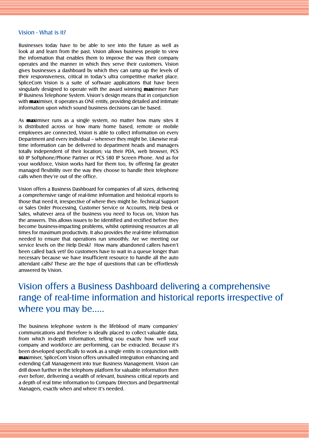#### Vision - What is it?

Businesses today have to be able to see into the future as well as look at and learn from the past. Vision allows business people to view the information that enables them to improve the way their company operates and the manner in which they serve their customers. Vision gives businesses a dashboard by which they can ramp up the levels of their responsiveness, critical in today's ultra competitive market place. SpliceCom Vision is a suite of software applications that have been singularly designed to operate with the award winning **max**imiser Pure IP Business Telephone System. Vision's design means that in conjunction with **max**imiser, it operates as ONE entity, providing detailed and intimate information upon which sound business decisions can be based.

As **max**imiser runs as a single system, no matter how many sites it is distributed across or how many home based, remote or mobile employees are connected, Vision is able to collect information on every Department and every individual – wherever they might be. Likewise realtime information can be delivered to department heads and managers totally independent of their location; via their PDA, web browser, PCS 60 IP Softphone/Phone Partner or PCS 580 IP Screen Phone. And as for your workforce, Vision works hard for them too, by offering far greater managed flexibility over the way they choose to handle their telephone calls when they're out of the office.

Vision offers a Business Dashboard for companies of all sizes, delivering a comprehensive range of real-time information and historical reports to those that need it, irrespective of where they might be. Technical Support or Sales Order Processing, Customer Service or Accounts, Help Desk or Sales, whatever area of the business you need to focus on, Vision has the answers. This allows issues to be identified and rectified before they become business-impacting problems, whilst optimising resources at all times for maximum productivity. It also provides the real-time information needed to ensure that operations run smoothly. Are we meeting our service levels on the Help Desk? How many abandoned callers haven't been called back yet? Do customers have to wait in a queue longer than necessary because we have insufficient resource to handle all the auto attendant calls? These are the type of questions that can be effortlessly answered by Vision.

## Vision offers a Business Dashboard delivering a comprehensive range of real-time information and historical reports irrespective of where you may be.....

The business telephone system is the lifeblood of many companies' communications and therefore is ideally placed to collect valuable data, from which in-depth information, telling you exactly how well your company and workforce are performing, can be extracted. Because it's been developed specifically to work as a single entity in conjunction with maximiser, SpliceCom Vision offers unrivalled integration enhancing and extending Call Management into true Business Management. Vision can drill down further in the telephony platform for valuable information then ever before, delivering a wealth of relevant, business critical reports and a depth of real time information to Company Directors and Departmental Managers, exactly when and where it's needed.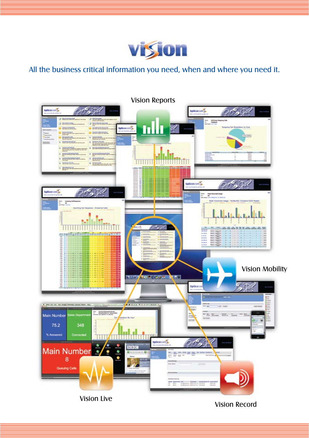

All the business critical information you need, when and where you need it.

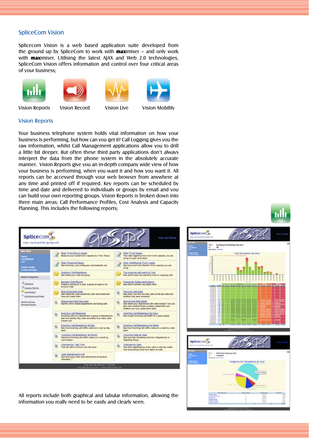#### SpliceCom Vision

Splicecom Vision is a web based application suite developed from the ground up by SpliceCom to work with **max**imiser - and only work with **max**imiser. Utilising the latest AJAX and Web 2.0 technologies, SpliceCom Vision offers information and control over four critical areas of your business;











Vision Reports Vision Record Vision Live Vision Mobility



Vision Reports

Your business telephone system holds vital information on how your business is performing, but how can you get it? Call Logging gives you the raw information, whilst Call Management applications allow you to drill a little bit deeper. But often these third party applications don't always interpret the data from the phone system in the absolutely accurate manner. Vision Reports give you an in-depth company wide view of how your business is performing, when you want it and how you want it. All reports can be accessed through your web browser from anywhere at any time and printed off if required. Key reports can be scheduled by time and date and delivered to individuals or groups by email and you can build your own reporting groups. Vision Reports is broken down into three main areas; Call Performance Profiles, Cost Analysis and Capacity Planning. This includes the following reports;







splicecom,

All reports include both graphical and tabular information, allowing the information you really need to be easily and clearly seen.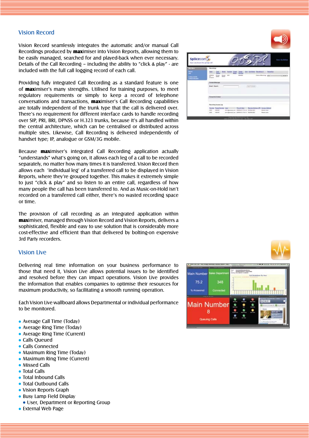#### Vision Record

Vision Record seamlessly integrates the automatic and/or manual Call Recordings produced by maximiser into Vision Reports, allowing them to be easily managed, searched for and played-back when ever necessary. Details of the Call Recording – including the ability to "click & play" - are included with the full call logging record of each call.

Providing fully integrated Call Recording as a standard feature is one of maximiser's many strengths. Utilised for training purposes, to meet regulatory requirements or simply to keep a record of telephone conversations and transactions, maximiser's Call Recording capabilities are totally independent of the trunk type that the call is delivered over. There's no requirement for different interface cards to handle recording over SIP, PRI, BRI, DPNSS or H.323 trunks, because it's all handled within the central architecture, which can be centralised or distributed across multiple sites. Likewise, Call Recording is delivered independently of handset type; IP, analogue or GSM/3G mobile.

Because maximiser's integrated Call Recording application actually "understands" what's going on, it allows each leg of a call to be recorded separately, no matter how many times it is transferred. Vision Record then allows each 'individual leg' of a transferred call to be displayed in Vision Reports, where they're grouped together. This makes it extremely simple to just "click & play" and so listen to an entire call, regardless of how many people the call has been transferred to. And as Music-on-Hold isn't recorded on a transferred call either, there's no wasted recording space or time.

The provision of call recording as an integrated application within maximiser, managed through Vision Record and Vision Reports, delivers a sophisticated, flexible and easy to use solution that is considerably more cost-effective and efficient than that delivered by bolting-on expensive 3rd Party recorders.

#### Vision Live

Delivering real time information on your business performance to those that need it, Vision Live allows potential issues to be identified and resolved before they can impact operations. Vision Live provides the information that enables companies to optimise their resources for maximum productivity, so facilitating a smooth running operation.

Each Vision Live wallboard allows Departmental or individual performance to be monitored.

- Average Call Time (Today)
- Average Ring Time (Today)
- Average Ring Time (Current)
- Calls Queued
- Calls Connected
- Maximum Ring Time (Today)
- Maximum Ring Time (Current)
- **Missed Calls**
- **Total Calls**
- Total Inbound Calls
- Total Outbound Calls
- Vision Reports Graph
- Busy Lamp Field Display
- User, Department or Reporting Group
- External Web Page





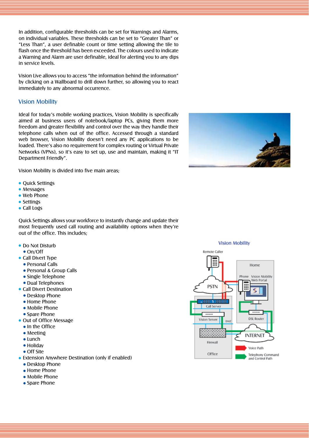In addition, configurable thresholds can be set for Warnings and Alarms, on individual variables. These thresholds can be set to "Greater Than" or "Less Than", a user definable count or time setting allowing the tile to flash once the threshold has been exceeded. The colours used to indicate a Warning and Alarm are user definable, ideal for alerting you to any dips in service levels.

Vision Live allows you to access "the information behind the information" by clicking on a Wallboard to drill down further, so allowing you to react immediately to any abnormal occurrence.

#### Vision Mobility

Ideal for today's mobile working practices, Vision Mobility is specifically aimed at business users of notebook/laptop PCs, giving them more freedom and greater flexibility and control over the way they handle their telephone calls when out of the office. Accessed through a standard web browser, Vision Mobility doesn't need any PC applications to be loaded. There's also no requirement for complex routing or Virtual Private Networks (VPNs), so it's easy to set up, use and maintain, making it "IT Department Friendly".

Vision Mobility is divided into five main areas;

- Quick Settings
- Messages
- Web Phone
- Settings
- Call Logs

Quick Settings allows your workforce to instantly change and update their most frequently used call routing and availability options when they're out of the office. This includes;

- Do Not Disturb
	- On/Off
- Call Divert Type
	- Personal Calls
	- Personal & Group Calls
	- Single Telephone
	- Dual Telephones
- Call Divert Destination
	- Desktop Phone
	- Home Phone
	- Mobile Phone
	- Spare Phone
- Out of Office Message
	- In the Office
	- Meeting
	- Lunch
	- Holidav
	- Off Site
- Extension Anywhere Destination (only if enabled)
	- **Desktop Phone**
	- Home Phone
	- Mobile Phone
	- Spare Phone





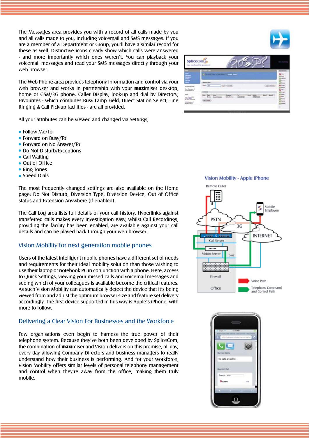The Messages area provides you with a record of all calls made by you and all calls made to you, including voicemail and SMS messages. If you are a member of a Department or Group, you'll have a similar record for these as well. Distinctive icons clearly show which calls were answered - and more importantly which ones weren't. You can playback your voicemail messages and read your SMS messages directly through your web browser.

The Web Phone area provides telephony information and control via your web browser and works in partnership with your **max**imiser desktop, home or GSM/3G phone. Caller Display, look-up and dial by Directory, Favourites - which combines Busy Lamp Field, Direct Station Select, Line Ringing & Call Pick-up facilities - are all provided.

All your attributes can be viewed and changed via Settings;

- Follow Me/To
- Forward on Busy/To
- **Forward on No Answer/To**
- Do Not Disturb/Exceptions
- Call Waiting
- Out of Office
- Ring Tones
- Speed Dials

The most frequently changed settings are also available on the Home page; Do Not Disturb, Diversion Type, Diversion Device, Out of Office status and Extension Anywhere (if enabled).

The Call Log area lists full details of your call history. Hyperlinks against transferred calls makes every investigation easy, whilst Call Recordings, providing the facility has been enabled, are available against your call details and can be played back through your web browser.

#### Vision Mobility for next generation mobile phones

Users of the latest intelligent mobile phones have a different set of needs and requirements for their ideal mobility solution than those wishing to use their laptop or notebook PC in conjunction with a phone. Here, access to Quick Settings, viewing your missed calls and voicemail messages and seeing which of your colleagues is available become the critical features. As such Vision Mobility can automatically detect the device that it's being viewed from and adjust the optimum browser size and feature set delivery accordingly. The first device supported in this way is Apple's iPhone, with more to follow.

#### Delivering a Clear Vision For Businesses and the Workforce

Few organisations even begin to harness the true power of their telephone system. Because they've both been developed by SpliceCom, the combination of **max**imiser and Vision delivers on this promise, all day, every day allowing Company Directors and business managers to really understand how their business is performing. And for your workforce, Vision Mobility offers similar levels of personal telephony management and control when they're away from the office, making them truly mobile.



**Remote Caller** m Mobile Employee **PSTN**  $3G$ **INTERNET** Call Serve  $-\frac{1}{2}$ Vision Server **DM** Firewall Voice Path

Telephony Command and Control Path

Office